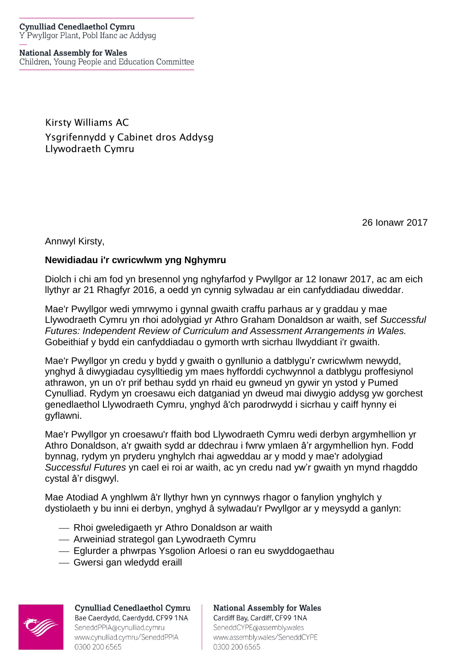#### **Cynulliad Cenedlaethol Cymru** Y Pwyllgor Plant, Pobl Ifanc ac Addysg

#### **National Assembly for Wales**

Children, Young People and Education Committee

Kirsty Williams AC Ysgrifennydd y Cabinet dros Addysg Llywodraeth Cymru

26 Ionawr 2017

Annwyl Kirsty,

#### **Newidiadau i'r cwricwlwm yng Nghymru**

Diolch i chi am fod yn bresennol yng nghyfarfod y Pwyllgor ar 12 Ionawr 2017, ac am eich llythyr ar 21 Rhagfyr 2016, a oedd yn cynnig sylwadau ar ein canfyddiadau diweddar.

Mae'r Pwyllgor wedi ymrwymo i gynnal gwaith craffu parhaus ar y graddau y mae Llywodraeth Cymru yn rhoi adolygiad yr Athro Graham Donaldson ar waith, sef *Successful Futures: Independent Review of Curriculum and Assessment Arrangements in Wales.* Gobeithiaf y bydd ein canfyddiadau o gymorth wrth sicrhau llwyddiant i'r gwaith.

Mae'r Pwyllgor yn credu y bydd y gwaith o gynllunio a datblygu'r cwricwlwm newydd, ynghyd â diwygiadau cysylltiedig ym maes hyfforddi cychwynnol a datblygu proffesiynol athrawon, yn un o'r prif bethau sydd yn rhaid eu gwneud yn gywir yn ystod y Pumed Cynulliad. Rydym yn croesawu eich datganiad yn dweud mai diwygio addysg yw gorchest genedlaethol Llywodraeth Cymru, ynghyd â'ch parodrwydd i sicrhau y caiff hynny ei gyflawni.

Mae'r Pwyllgor yn croesawu'r ffaith bod Llywodraeth Cymru wedi derbyn argymhellion yr Athro Donaldson, a'r gwaith sydd ar ddechrau i fwrw ymlaen â'r argymhellion hyn. Fodd bynnag, rydym yn pryderu ynghylch rhai agweddau ar y modd y mae'r adolygiad *Successful Futures* yn cael ei roi ar waith, ac yn credu nad yw'r gwaith yn mynd rhagddo cystal â'r disgwyl.

Mae Atodiad A ynghlwm â'r llythyr hwn yn cynnwys rhagor o fanylion ynghylch y dystiolaeth y bu inni ei derbyn, ynghyd â sylwadau'r Pwyllgor ar y meysydd a ganlyn:

- Rhoi gweledigaeth yr Athro Donaldson ar waith
- Arweiniad strategol gan Lywodraeth Cymru
- Eglurder a phwrpas Ysgolion Arloesi o ran eu swyddogaethau
- Gwersi gan wledydd eraill



**Cynulliad Cenedlaethol Cymru** Bae Caerdydd, Caerdydd, CF99 1NA SeneddPPIA@cynulliad.cymru www.cynulliad.cymru/SeneddPPIA 0300 200 6565

**National Assembly for Wales** Cardiff Bay, Cardiff, CF99 1NA SeneddCYPE@assembly.wales www.assembly.wales/SeneddCYPE 0300 200 6565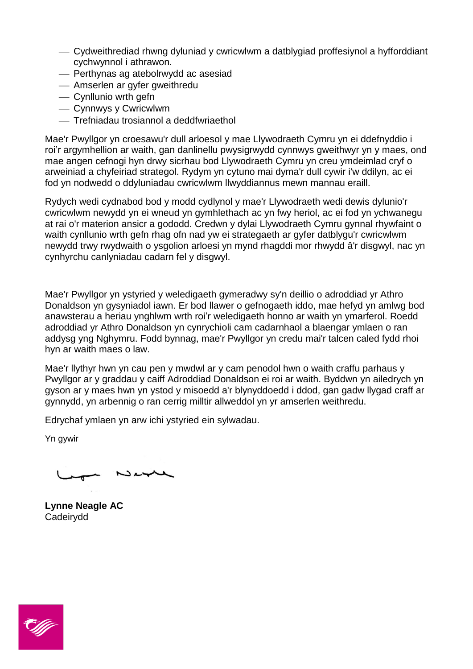- Cydweithrediad rhwng dyluniad y cwricwlwm a datblygiad proffesiynol a hyfforddiant cychwynnol i athrawon.
- Perthynas ag atebolrwydd ac asesiad
- Amserlen ar gyfer gweithredu
- Cynllunio wrth gefn
- Cynnwys y Cwricwlwm
- Trefniadau trosiannol a deddfwriaethol

Mae'r Pwyllgor yn croesawu'r dull arloesol y mae Llywodraeth Cymru yn ei ddefnyddio i roi'r argymhellion ar waith, gan danlinellu pwysigrwydd cynnwys gweithwyr yn y maes, ond mae angen cefnogi hyn drwy sicrhau bod Llywodraeth Cymru yn creu ymdeimlad cryf o arweiniad a chyfeiriad strategol. Rydym yn cytuno mai dyma'r dull cywir i'w ddilyn, ac ei fod yn nodwedd o ddyluniadau cwricwlwm llwyddiannus mewn mannau eraill.

Rydych wedi cydnabod bod y modd cydlynol y mae'r Llywodraeth wedi dewis dylunio'r cwricwlwm newydd yn ei wneud yn gymhlethach ac yn fwy heriol, ac ei fod yn ychwanegu at rai o'r materion ansicr a gododd. Credwn y dylai Llywodraeth Cymru gynnal rhywfaint o waith cynllunio wrth gefn rhag ofn nad yw ei strategaeth ar gyfer datblygu'r cwricwlwm newydd trwy rwydwaith o ysgolion arloesi yn mynd rhagddi mor rhwydd â'r disgwyl, nac yn cynhyrchu canlyniadau cadarn fel y disgwyl.

Mae'r Pwyllgor yn ystyried y weledigaeth gymeradwy sy'n deillio o adroddiad yr Athro Donaldson yn gysyniadol iawn. Er bod llawer o gefnogaeth iddo, mae hefyd yn amlwg bod anawsterau a heriau ynghlwm wrth roi'r weledigaeth honno ar waith yn ymarferol. Roedd adroddiad yr Athro Donaldson yn cynrychioli cam cadarnhaol a blaengar ymlaen o ran addysg yng Nghymru. Fodd bynnag, mae'r Pwyllgor yn credu mai'r talcen caled fydd rhoi hyn ar waith maes o law.

Mae'r llythyr hwn yn cau pen y mwdwl ar y cam penodol hwn o waith craffu parhaus y Pwyllgor ar y graddau y caiff Adroddiad Donaldson ei roi ar waith. Byddwn yn ailedrych yn gyson ar y maes hwn yn ystod y misoedd a'r blynyddoedd i ddod, gan gadw llygad craff ar gynnydd, yn arbennig o ran cerrig milltir allweddol yn yr amserlen weithredu.

Edrychaf ymlaen yn arw ichi ystyried ein sylwadau.

Yn gywir

 $N$ 

**Lynne Neagle AC** Cadeirydd

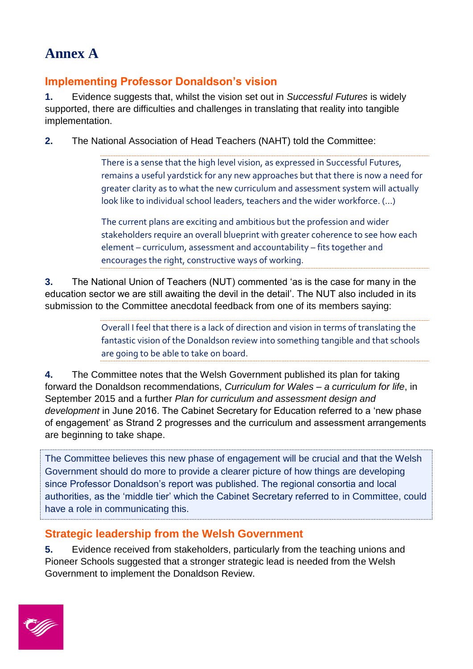# **Annex A**

# **Implementing Professor Donaldson's vision**

**1.** Evidence suggests that, whilst the vision set out in *Successful Futures* is widely supported, there are difficulties and challenges in translating that reality into tangible implementation.

**2.** The National Association of Head Teachers (NAHT) told the Committee:

There is a sense that the high level vision, as expressed in Successful Futures, remains a useful yardstick for any new approaches but that there is now a need for greater clarity as to what the new curriculum and assessment system will actually look like to individual school leaders, teachers and the wider workforce. (…)

The current plans are exciting and ambitious but the profession and wider stakeholders require an overall blueprint with greater coherence to see how each element – curriculum, assessment and accountability – fits together and encourages the right, constructive ways of working.

**3.** The National Union of Teachers (NUT) commented 'as is the case for many in the education sector we are still awaiting the devil in the detail'. The NUT also included in its submission to the Committee anecdotal feedback from one of its members saying:

> Overall I feel that there is a lack of direction and vision in terms of translating the fantastic vision of the Donaldson review into something tangible and that schools are going to be able to take on board.

**4.** The Committee notes that the Welsh Government published its plan for taking forward the Donaldson recommendations, *Curriculum for Wales – a curriculum for life*, in September 2015 and a further *Plan for curriculum and assessment design and development* in June 2016. The Cabinet Secretary for Education referred to a 'new phase of engagement' as Strand 2 progresses and the curriculum and assessment arrangements are beginning to take shape.

The Committee believes this new phase of engagement will be crucial and that the Welsh Government should do more to provide a clearer picture of how things are developing since Professor Donaldson's report was published. The regional consortia and local authorities, as the 'middle tier' which the Cabinet Secretary referred to in Committee, could have a role in communicating this.

### **Strategic leadership from the Welsh Government**

**5.** Evidence received from stakeholders, particularly from the teaching unions and Pioneer Schools suggested that a stronger strategic lead is needed from the Welsh Government to implement the Donaldson Review.

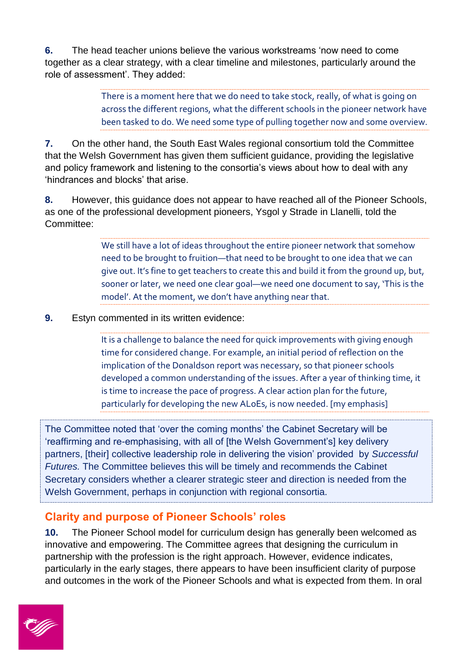**6.** The head teacher unions believe the various workstreams 'now need to come together as a clear strategy, with a clear timeline and milestones, particularly around the role of assessment'. They added:

> There is a moment here that we do need to take stock, really, of what is going on across the different regions, what the different schools in the pioneer network have been tasked to do. We need some type of pulling together now and some overview.

**7.** On the other hand, the South East Wales regional consortium told the Committee that the Welsh Government has given them sufficient guidance, providing the legislative and policy framework and listening to the consortia's views about how to deal with any 'hindrances and blocks' that arise.

**8.** However, this guidance does not appear to have reached all of the Pioneer Schools, as one of the professional development pioneers, Ysgol y Strade in Llanelli, told the Committee:

> We still have a lot of ideas throughout the entire pioneer network that somehow need to be brought to fruition—that need to be brought to one idea that we can give out. It's fine to get teachers to create this and build it from the ground up, but, sooner or later, we need one clear goal—we need one document to say, 'This is the model'. At the moment, we don't have anything near that.

**9.** Estyn commented in its written evidence:

It is a challenge to balance the need for quick improvements with giving enough time for considered change. For example, an initial period of reflection on the implication of the Donaldson report was necessary, so that pioneer schools developed a common understanding of the issues. After a year of thinking time, it is time to increase the pace of progress. A clear action plan for the future, particularly for developing the new ALoEs, is now needed. [my emphasis]

The Committee noted that 'over the coming months' the Cabinet Secretary will be 'reaffirming and re-emphasising, with all of [the Welsh Government's] key delivery partners, [their] collective leadership role in delivering the vision' provided by *Successful Futures.* The Committee believes this will be timely and recommends the Cabinet Secretary considers whether a clearer strategic steer and direction is needed from the Welsh Government, perhaps in conjunction with regional consortia.

### **Clarity and purpose of Pioneer Schools' roles**

**10.** The Pioneer School model for curriculum design has generally been welcomed as innovative and empowering. The Committee agrees that designing the curriculum in partnership with the profession is the right approach. However, evidence indicates, particularly in the early stages, there appears to have been insufficient clarity of purpose and outcomes in the work of the Pioneer Schools and what is expected from them. In oral

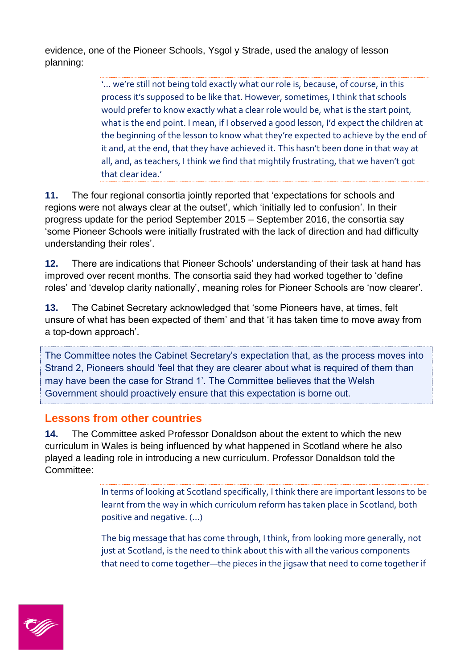evidence, one of the Pioneer Schools, Ysgol y Strade, used the analogy of lesson planning:

> '… we're still not being told exactly what our role is, because, of course, in this process it's supposed to be like that. However, sometimes, I think that schools would prefer to know exactly what a clear role would be, what is the start point, what is the end point. I mean, if I observed a good lesson, I'd expect the children at the beginning of the lesson to know what they're expected to achieve by the end of it and, at the end, that they have achieved it. This hasn't been done in that way at all, and, as teachers, I think we find that mightily frustrating, that we haven't got that clear idea.'

**11.** The four regional consortia jointly reported that 'expectations for schools and regions were not always clear at the outset', which 'initially led to confusion'. In their progress update for the period September 2015 – September 2016, the consortia say 'some Pioneer Schools were initially frustrated with the lack of direction and had difficulty understanding their roles'.

**12.** There are indications that Pioneer Schools' understanding of their task at hand has improved over recent months. The consortia said they had worked together to 'define roles' and 'develop clarity nationally', meaning roles for Pioneer Schools are 'now clearer'.

**13.** The Cabinet Secretary acknowledged that 'some Pioneers have, at times, felt unsure of what has been expected of them' and that 'it has taken time to move away from a top-down approach'.

The Committee notes the Cabinet Secretary's expectation that, as the process moves into Strand 2, Pioneers should 'feel that they are clearer about what is required of them than may have been the case for Strand 1'. The Committee believes that the Welsh Government should proactively ensure that this expectation is borne out.

### **Lessons from other countries**

**14.** The Committee asked Professor Donaldson about the extent to which the new curriculum in Wales is being influenced by what happened in Scotland where he also played a leading role in introducing a new curriculum. Professor Donaldson told the Committee:

> In terms of looking at Scotland specifically, I think there are important lessons to be learnt from the way in which curriculum reform has taken place in Scotland, both positive and negative. (...)

> The big message that has come through, I think, from looking more generally, not just at Scotland, is the need to think about this with all the various components that need to come together—the pieces in the jigsaw that need to come together if

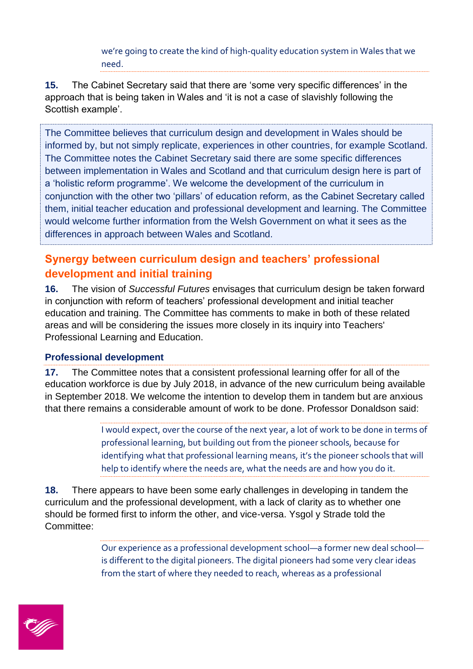we're going to create the kind of high-quality education system in Wales that we need.

**15.** The Cabinet Secretary said that there are 'some very specific differences' in the approach that is being taken in Wales and 'it is not a case of slavishly following the Scottish example'.

The Committee believes that curriculum design and development in Wales should be informed by, but not simply replicate, experiences in other countries, for example Scotland. The Committee notes the Cabinet Secretary said there are some specific differences between implementation in Wales and Scotland and that curriculum design here is part of a 'holistic reform programme'. We welcome the development of the curriculum in conjunction with the other two 'pillars' of education reform, as the Cabinet Secretary called them, initial teacher education and professional development and learning. The Committee would welcome further information from the Welsh Government on what it sees as the differences in approach between Wales and Scotland.

# **Synergy between curriculum design and teachers' professional development and initial training**

**16.** The vision of *Successful Futures* envisages that curriculum design be taken forward in conjunction with reform of teachers' professional development and initial teacher education and training. The Committee has comments to make in both of these related areas and will be considering the issues more closely in its inquiry into Teachers' Professional Learning and Education.

### **Professional development**

**17.** The Committee notes that a consistent professional learning offer for all of the education workforce is due by July 2018, in advance of the new curriculum being available in September 2018. We welcome the intention to develop them in tandem but are anxious that there remains a considerable amount of work to be done. Professor Donaldson said:

> I would expect, over the course of the next year, a lot of work to be done in terms of professional learning, but building out from the pioneer schools, because for identifying what that professional learning means, it's the pioneer schools that will help to identify where the needs are, what the needs are and how you do it.

**18.** There appears to have been some early challenges in developing in tandem the curriculum and the professional development, with a lack of clarity as to whether one should be formed first to inform the other, and vice-versa. Ysgol y Strade told the Committee:

> Our experience as a professional development school—a former new deal school is different to the digital pioneers. The digital pioneers had some very clear ideas from the start of where they needed to reach, whereas as a professional

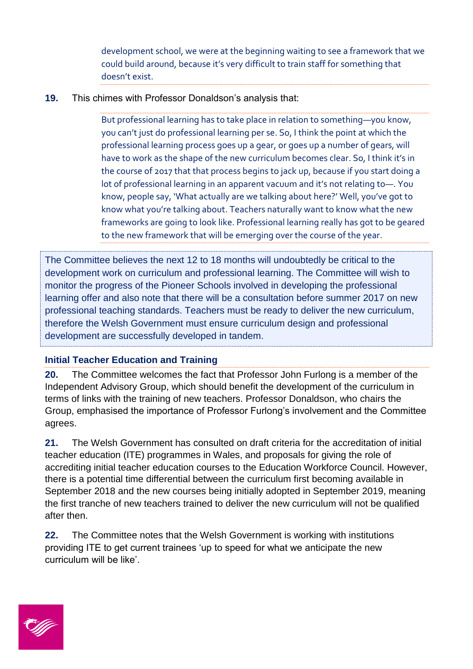development school, we were at the beginning waiting to see a framework that we could build around, because it's very difficult to train staff for something that doesn't exist.

#### **19.** This chimes with Professor Donaldson's analysis that:

But professional learning has to take place in relation to something—you know, you can't just do professional learning per se. So, I think the point at which the professional learning process goes up a gear, or goes up a number of gears, will have to work as the shape of the new curriculum becomes clear. So, I think it's in the course of 2017 that that process begins to jack up, because if you start doing a lot of professional learning in an apparent vacuum and it's not relating to—. You know, people say, 'What actually are we talking about here?' Well, you've got to know what you're talking about. Teachers naturally want to know what the new frameworks are going to look like. Professional learning really has got to be geared to the new framework that will be emerging over the course of the year.

The Committee believes the next 12 to 18 months will undoubtedly be critical to the development work on curriculum and professional learning. The Committee will wish to monitor the progress of the Pioneer Schools involved in developing the professional learning offer and also note that there will be a consultation before summer 2017 on new professional teaching standards. Teachers must be ready to deliver the new curriculum, therefore the Welsh Government must ensure curriculum design and professional development are successfully developed in tandem.

#### **Initial Teacher Education and Training**

**20.** The Committee welcomes the fact that Professor John Furlong is a member of the Independent Advisory Group, which should benefit the development of the curriculum in terms of links with the training of new teachers. Professor Donaldson, who chairs the Group, emphasised the importance of Professor Furlong's involvement and the Committee agrees.

**21.** The Welsh Government has consulted on draft criteria for the accreditation of initial teacher education (ITE) programmes in Wales, and proposals for giving the role of accrediting initial teacher education courses to the Education Workforce Council. However, there is a potential time differential between the curriculum first becoming available in September 2018 and the new courses being initially adopted in September 2019, meaning the first tranche of new teachers trained to deliver the new curriculum will not be qualified after then.

**22.** The Committee notes that the Welsh Government is working with institutions providing ITE to get current trainees 'up to speed for what we anticipate the new curriculum will be like'.

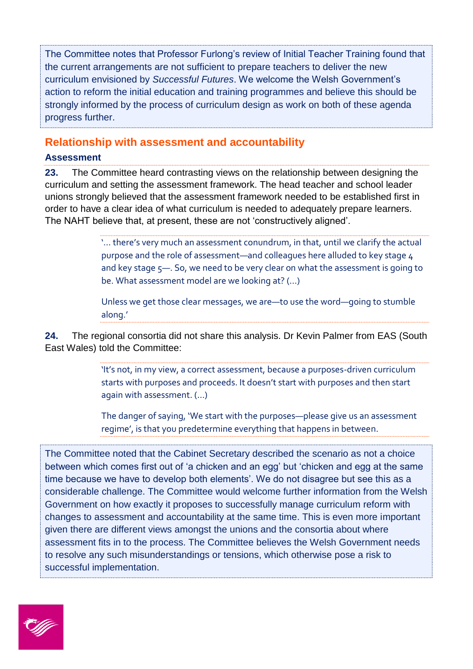The Committee notes that Professor Furlong's review of Initial Teacher Training found that the current arrangements are not sufficient to prepare teachers to deliver the new curriculum envisioned by *Successful Futures*. We welcome the Welsh Government's action to reform the initial education and training programmes and believe this should be strongly informed by the process of curriculum design as work on both of these agenda progress further.

#### **Relationship with assessment and accountability**

#### **Assessment**

**23.** The Committee heard contrasting views on the relationship between designing the curriculum and setting the assessment framework. The head teacher and school leader unions strongly believed that the assessment framework needed to be established first in order to have a clear idea of what curriculum is needed to adequately prepare learners. The NAHT believe that, at present, these are not 'constructively aligned'.

> '… there's very much an assessment conundrum, in that, until we clarify the actual purpose and the role of assessment—and colleagues here alluded to key stage 4 and key stage 5—. So, we need to be very clear on what the assessment is going to be. What assessment model are we looking at? (…)

Unless we get those clear messages, we are—to use the word—going to stumble along.'

**24.** The regional consortia did not share this analysis. Dr Kevin Palmer from EAS (South East Wales) told the Committee:

> 'It's not, in my view, a correct assessment, because a purposes-driven curriculum starts with purposes and proceeds. It doesn't start with purposes and then start again with assessment. (…)

> The danger of saying, 'We start with the purposes—please give us an assessment regime', is that you predetermine everything that happens in between.

The Committee noted that the Cabinet Secretary described the scenario as not a choice between which comes first out of 'a chicken and an egg' but 'chicken and egg at the same time because we have to develop both elements'. We do not disagree but see this as a considerable challenge. The Committee would welcome further information from the Welsh Government on how exactly it proposes to successfully manage curriculum reform with changes to assessment and accountability at the same time. This is even more important given there are different views amongst the unions and the consortia about where assessment fits in to the process. The Committee believes the Welsh Government needs to resolve any such misunderstandings or tensions, which otherwise pose a risk to successful implementation.

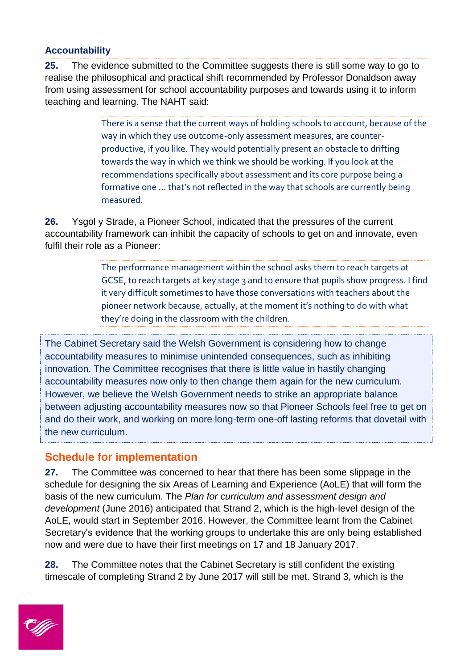#### **Accountability**

25. The evidence submitted to the Committee suggests there is still some way to go to realise the philosophical and practical shift recommended by Professor Donaldson away from using assessment for school accountability purposes and towards using it to inform teaching and learning. The NAHT said:

> There is a sense that the current ways of holding schools to account, because of the way in which they use outcome-only assessment measures, are counterproductive, if you like. They would potentially present an obstacle to drifting towards the way in which we think we should be working. If you look at the recommendations specifically about assessment and its core purpose being a formative one … that's not reflected in the way that schools are currently being measured.

**26.** Ysgol y Strade, a Pioneer School, indicated that the pressures of the current accountability framework can inhibit the capacity of schools to get on and innovate, even fulfil their role as a Pioneer:

> The performance management within the school asks them to reach targets at GCSE, to reach targets at key stage 3 and to ensure that pupils show progress. I find it very difficult sometimes to have those conversations with teachers about the pioneer network because, actually, at the moment it's nothing to do with what they're doing in the classroom with the children.

The Cabinet Secretary said the Welsh Government is considering how to change accountability measures to minimise unintended consequences, such as inhibiting innovation. The Committee recognises that there is little value in hastily changing accountability measures now only to then change them again for the new curriculum. However, we believe the Welsh Government needs to strike an appropriate balance between adjusting accountability measures now so that Pioneer Schools feel free to get on and do their work, and working on more long-term one-off lasting reforms that dovetail with the new curriculum.

### **Schedule for implementation**

**27.** The Committee was concerned to hear that there has been some slippage in the schedule for designing the six Areas of Learning and Experience (AoLE) that will form the basis of the new curriculum. The *Plan for curriculum and assessment design and development* (June 2016) anticipated that Strand 2, which is the high-level design of the AoLE, would start in September 2016. However, the Committee learnt from the Cabinet Secretary's evidence that the working groups to undertake this are only being established now and were due to have their first meetings on 17 and 18 January 2017.

**28.** The Committee notes that the Cabinet Secretary is still confident the existing timescale of completing Strand 2 by June 2017 will still be met. Strand 3, which is the

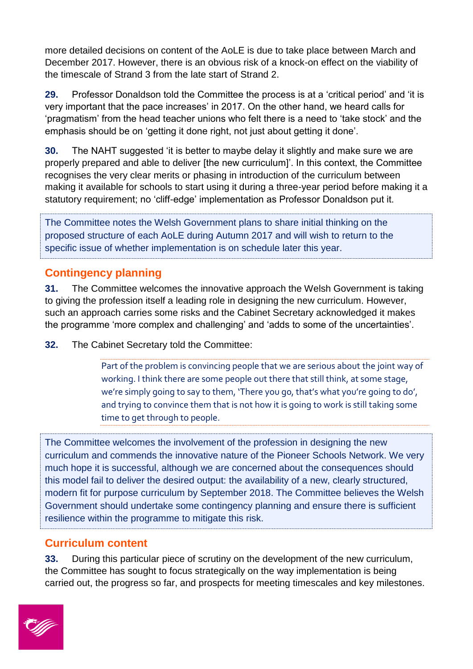more detailed decisions on content of the AoLE is due to take place between March and December 2017. However, there is an obvious risk of a knock-on effect on the viability of the timescale of Strand 3 from the late start of Strand 2.

**29.** Professor Donaldson told the Committee the process is at a 'critical period' and 'it is very important that the pace increases' in 2017. On the other hand, we heard calls for 'pragmatism' from the head teacher unions who felt there is a need to 'take stock' and the emphasis should be on 'getting it done right, not just about getting it done'.

**30.** The NAHT suggested 'it is better to maybe delay it slightly and make sure we are properly prepared and able to deliver [the new curriculum]'. In this context, the Committee recognises the very clear merits or phasing in introduction of the curriculum between making it available for schools to start using it during a three-year period before making it a statutory requirement; no 'cliff-edge' implementation as Professor Donaldson put it.

The Committee notes the Welsh Government plans to share initial thinking on the proposed structure of each AoLE during Autumn 2017 and will wish to return to the specific issue of whether implementation is on schedule later this year.

## **Contingency planning**

**31.** The Committee welcomes the innovative approach the Welsh Government is taking to giving the profession itself a leading role in designing the new curriculum. However, such an approach carries some risks and the Cabinet Secretary acknowledged it makes the programme 'more complex and challenging' and 'adds to some of the uncertainties'.

**32.** The Cabinet Secretary told the Committee:

Part of the problem is convincing people that we are serious about the joint way of working. I think there are some people out there that still think, at some stage, we're simply going to say to them, 'There you go, that's what you're going to do', and trying to convince them that is not how it is going to work is still taking some time to get through to people.

The Committee welcomes the involvement of the profession in designing the new curriculum and commends the innovative nature of the Pioneer Schools Network. We very much hope it is successful, although we are concerned about the consequences should this model fail to deliver the desired output: the availability of a new, clearly structured, modern fit for purpose curriculum by September 2018. The Committee believes the Welsh Government should undertake some contingency planning and ensure there is sufficient resilience within the programme to mitigate this risk.

### **Curriculum content**

**33.** During this particular piece of scrutiny on the development of the new curriculum, the Committee has sought to focus strategically on the way implementation is being carried out, the progress so far, and prospects for meeting timescales and key milestones.

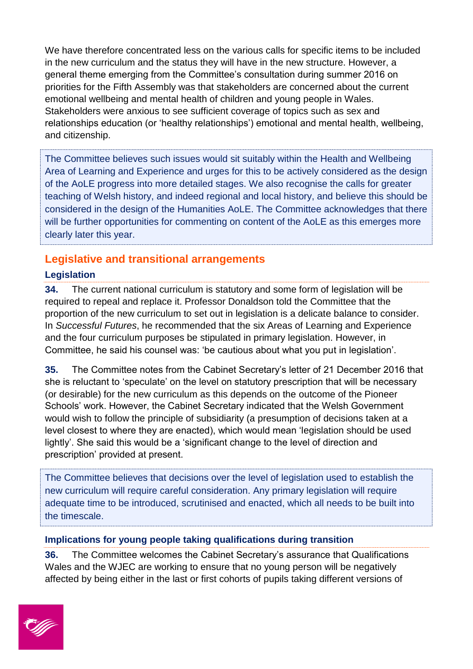We have therefore concentrated less on the various calls for specific items to be included in the new curriculum and the status they will have in the new structure. However, a general theme emerging from the Committee's consultation during summer 2016 on priorities for the Fifth Assembly was that stakeholders are concerned about the current emotional wellbeing and mental health of children and young people in Wales. Stakeholders were anxious to see sufficient coverage of topics such as sex and relationships education (or 'healthy relationships') emotional and mental health, wellbeing, and citizenship.

The Committee believes such issues would sit suitably within the Health and Wellbeing Area of Learning and Experience and urges for this to be actively considered as the design of the AoLE progress into more detailed stages. We also recognise the calls for greater teaching of Welsh history, and indeed regional and local history, and believe this should be considered in the design of the Humanities AoLE. The Committee acknowledges that there will be further opportunities for commenting on content of the AoLE as this emerges more clearly later this year.

### **Legislative and transitional arrangements**

### **Legislation**

**34.** The current national curriculum is statutory and some form of legislation will be required to repeal and replace it. Professor Donaldson told the Committee that the proportion of the new curriculum to set out in legislation is a delicate balance to consider. In *Successful Futures*, he recommended that the six Areas of Learning and Experience and the four curriculum purposes be stipulated in primary legislation. However, in Committee, he said his counsel was: 'be cautious about what you put in legislation'.

**35.** The Committee notes from the Cabinet Secretary's letter of 21 December 2016 that she is reluctant to 'speculate' on the level on statutory prescription that will be necessary (or desirable) for the new curriculum as this depends on the outcome of the Pioneer Schools' work. However, the Cabinet Secretary indicated that the Welsh Government would wish to follow the principle of subsidiarity (a presumption of decisions taken at a level closest to where they are enacted), which would mean 'legislation should be used lightly'. She said this would be a 'significant change to the level of direction and prescription' provided at present.

The Committee believes that decisions over the level of legislation used to establish the new curriculum will require careful consideration. Any primary legislation will require adequate time to be introduced, scrutinised and enacted, which all needs to be built into the timescale.

#### **Implications for young people taking qualifications during transition**

**36.** The Committee welcomes the Cabinet Secretary's assurance that Qualifications Wales and the WJEC are working to ensure that no young person will be negatively affected by being either in the last or first cohorts of pupils taking different versions of